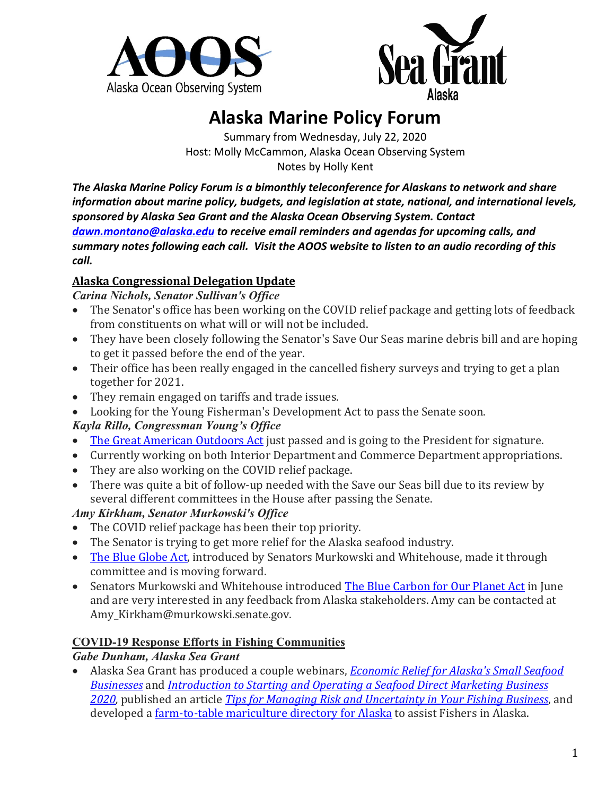



# **Alaska Marine Policy Forum**

Summary from Wednesday, July 22, 2020 Host: Molly McCammon, Alaska Ocean Observing System Notes by Holly Kent

*The Alaska Marine Policy Forum is a bimonthly teleconference for Alaskans to network and share information about marine policy, budgets, and legislation at state, national, and international levels, sponsored by Alaska Sea Grant and the Alaska Ocean Observing System. Contact [dawn.montano@alaska.edu](mailto:dawn.montano@alaska.edu) to receive email reminders and agendas for upcoming calls, and summary notes following each call. Visit the AOOS website to listen to an audio recording of this call.*

## **Alaska Congressional Delegation Update**

*Carina Nichols, Senator Sullivan's Office*

- The Senator's office has been working on the COVID relief package and getting lots of feedback from constituents on what will or will not be included.
- They have been closely following the Senator's Save Our Seas marine debris bill and are hoping to get it passed before the end of the year.
- Their office has been really engaged in the cancelled fishery surveys and trying to get a plan together for 2021.
- They remain engaged on tariffs and trade issues.
- Looking for the Young Fisherman's Development Act to pass the Senate soon.

# *Kayla Rillo, Congressman Young's Office*

- [The Great American Outdoors Act](https://www.congress.gov/bill/116th-congress/senate-bill/3422) just passed and is going to the President for signature.
- Currently working on both Interior Department and Commerce Department appropriations.
- They are also working on the COVID relief package.
- There was quite a bit of follow-up needed with the Save our Seas bill due to its review by several different committees in the House after passing the Senate.

## *Amy Kirkham, Senator Murkowski's Office*

- The COVID relief package has been their top priority.
- The Senator is trying to get more relief for the Alaska seafood industry.
- [The Blue Globe Act,](https://www.congress.gov/bill/116th-congress/senate-bill/933) introduced by Senators Murkowski and Whitehouse, made it through committee and is moving forward.
- Senators Murkowski and Whitehouse introduced [The Blue Carbon for Our Planet Act](https://www.congress.gov/bill/116th-congress/house-bill/5589/text) in June and are very interested in any feedback from Alaska stakeholders. Amy can be contacted at Amy\_Kirkham@murkowski.senate.gov.

# **COVID-19 Response Efforts in Fishing Communities**

## *Gabe Dunham, Alaska Sea Grant*

• Alaska Sea Grant has produced a couple webinars, *[Economic Relief for Alaska's Small Seafood](https://alaskaseagrant.org/event/covid-19-economic-relief-for-alaskas-small-seafood-businesses/)  [Businesses](https://alaskaseagrant.org/event/covid-19-economic-relief-for-alaskas-small-seafood-businesses/)* and *[Introduction to Starting and Operating a Seafood Direct Marketing Business](https://alaskaseagrant.org/event/introduction-to-starting-and-operating-a-seafood-direct-marketing-business-2020/)  [2020,](https://alaskaseagrant.org/event/introduction-to-starting-and-operating-a-seafood-direct-marketing-business-2020/)* published an article *[Tips for Managing Risk and Uncertainty in Your Fishing Business](https://seagrant.uaf.edu/bookstore/pubs/MAB-76.html)*, and developed a *farm-to-table mariculture directory for Alaska* to assist Fishers in Alaska.